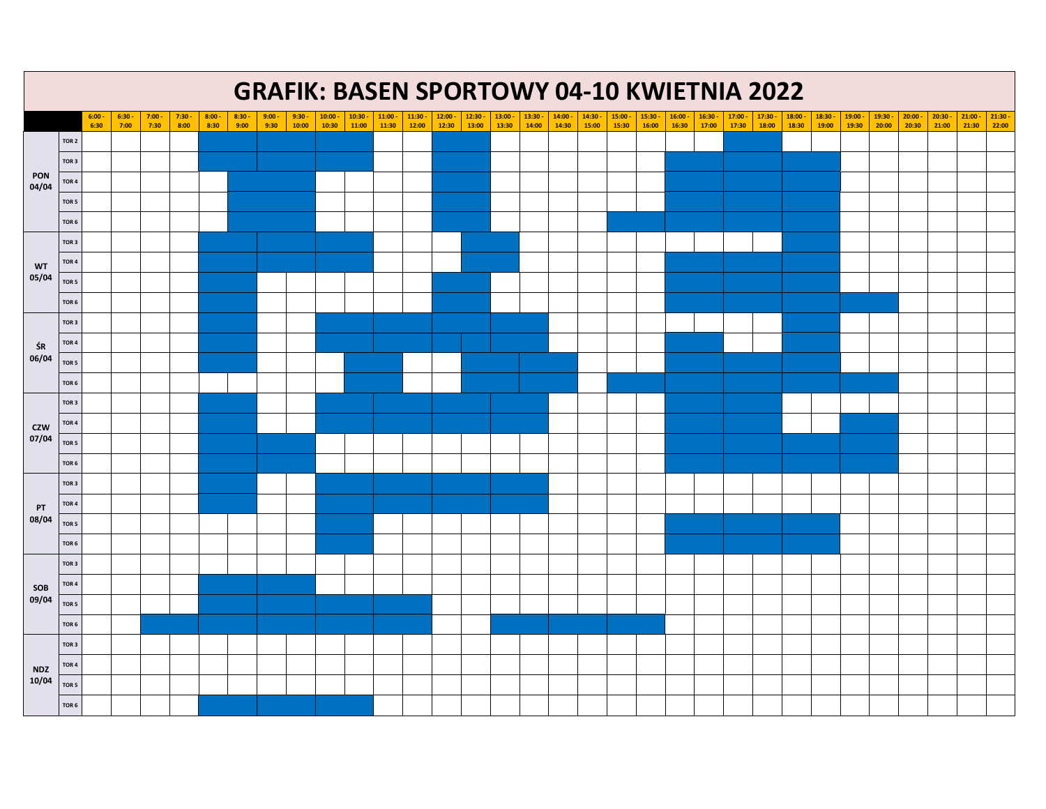